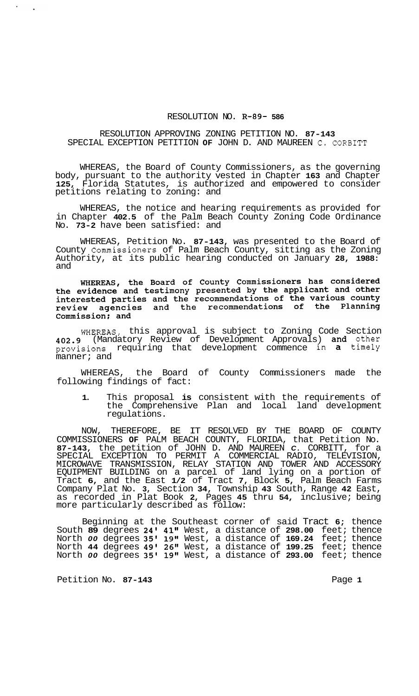## RESOLUTION NO. **R-89- 586**

## RESOLUTION APPROVING ZONING PETITION NO. **87-143**  SPECIAL EXCEPTION PETITION **OF** JOHN D. AND MAUREEN C. CORBITT

WHEREAS, the Board of County Commissioners, as the governing body, pursuant to the authority vested in Chapter **163** and Chapter **125,** Florida Statutes, is authorized and empowered to consider petitions relating to zoning: and

WHEREAS, the notice and hearing requirements as provided for in Chapter **402.5** of the Palm Beach County Zoning Code Ordinance No. **73-2** have been satisfied: and

WHEREAS, Petition No. **87-143,** was presented to the Board of County Commissioners of Palm Beach County, sitting as the Zoning Authority, at its public hearing conducted on January **28, 1988:**  and

WHEREAS, the Board of County Commissioners has considered the evidence and testimony presented by the applicant and other<br>interested parties and the recommendations of the various county review agencies and the recommendations of the Planning Commission; and

WHEREAS, this approval is subject to Zoning Code Section **402.9** (Mandatory Review of Development Approvals) and other provisions requiring that development commence in a timely manner; and

WHEREAS, the Board of County Commissioners made the following findings of fact:

**1.** This proposal **is** consistent with the requirements of the Comprehensive Plan and local land development regulations.

NOW, THEREFORE, BE IT RESOLVED BY THE BOARD OF COUNTY COMMISSIONERS **OF** PALM BEACH COUNTY, FLORIDA, that Petition No. **87-143,** the petition of JOHN D. AND MAUREEN *C.* CORBITT, for a SPECIAL EXCEPTION TO PERMIT A COMMERCIAL RADIO, TELEVISION, MICROWAVE TRANSMISSION, RELAY STATION AND TOWER AND ACCESSORY EQUIPMENT BUILDING on a parcel of land lying on a portion of Tract **6,** and the East **1/2** of Tract **7,** Block **5,** Palm Beach Farms Company Plat No. **3,** Section **34,** Township **43** South, Range **42** East, as recorded in Plat Book **2,** Pages **45** thru **54,** inclusive; being more particularly described as follow:

Beginning at the Southeast corner of said Tract **6;** thence South **89** degrees **24' 41"** West, a distance of **298.00** feet; thence North *00* degrees **35' 19"** West, a distance of **169.24** feet; thence North **44** degrees **49' 26"** West, a distance of **199.25** feet; thence North *00* degrees **35' 19"** West, a distance of **293.00** feet; thence

Petition No. 87-143 **Page 1 Page 1**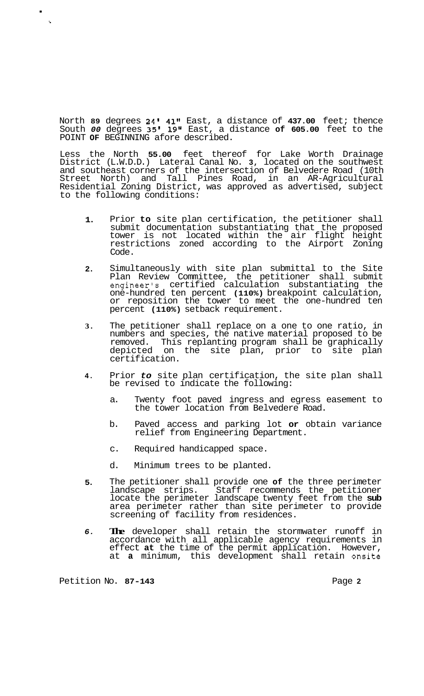North **89** degrees **24' 41"** East, a distance of **437.00** feet; thence South *00* degrees **35' 19"** East, a distance **of 605.00** feet to the POINT **OF** BEGINNING afore described.

Less the North **55.00** feet thereof for Lake Worth Drainage District (L.W.D.D.) Lateral Canal No. **3,** located on the southwest and southeast corners of the intersection of Belvedere Road (10th Street North) and Tall Pines Road, in an AR-Agricultural Residential Zoning District, was approved as advertised, subject to the following conditions:

- **1.**  Prior **to** site plan certification, the petitioner shall submit documentation substantiating that the proposed tower is not located within the air flight height restrictions zoned according to the Airport Zoning Code.
- **2.**  Simultaneously with site plan submittal to the Site Plan Review Committee, the petitioner shall submit engineer's certified calculation substantiating the one-hundred ten percent **(110%)** breakpoint calculation, or reposition the tower to meet the one-hundred ten percent **(110%)** setback requirement.
- **3.**  The petitioner shall replace on a one to one ratio, in numbers and species, the native material proposed to be removed. This replanting program shall be graphically depicted on the site plan, prior to site plan certification.
- **4.**  Prior *to* site plan certification, the site plan shall be revised to indicate the following:
	- a. Twenty foot paved ingress and egress easement to the tower location from Belvedere Road.
	- b. Paved access and parking lot **or** obtain variance relief from Engineering Department.
	- c. Required handicapped space.
	- d. Minimum trees to be planted.
- **5.**  The petitioner shall provide one **of** the three perimeter landscape strips. Staff recommends the petitioner locate the perimeter landscape twenty feet from the **sub**  area perimeter rather than site perimeter to provide screening of facility from residences.
- *6.*  **The** developer shall retain the stormwater runoff in accordance with all applicable agency requirements in effect **at** the time of the permit application. However, at **a** minimum, this development shall retain onsite

Petition No. **87-143** Page **2** 

.

**i**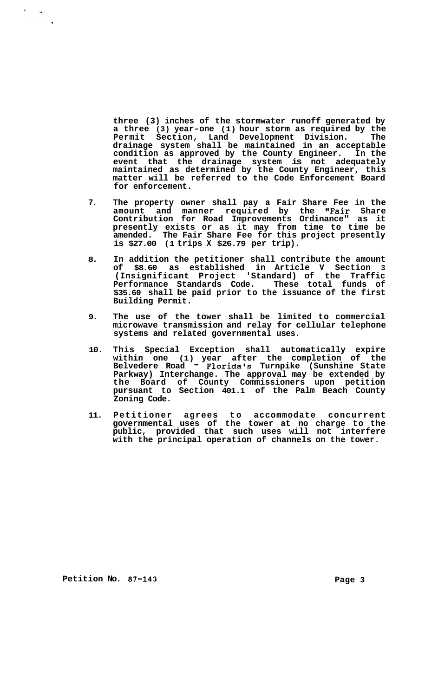**three (3) inches of the stormwater runoff generated by a three (3) year-one (1) hour storm as required by the Permit Section, Land Development Division. The drainage system shall be maintained in an acceptable condition as approved by the County Engineer. In the event that the drainage system is not adequately maintained as determined by the County Engineer, this matter will be referred to the Code Enforcement Board for enforcement.** 

- **7. The property owner shall pay a Fair Share Fee in the amount and manner required by the '#Fair Share Contribution for Road Improvements Ordinance" as it presently exists or as it may from time to time be amended. The Fair Share Fee for this project presently is \$27.00 (1 trips X \$26.79 per trip).**
- **8. In addition the petitioner shall contribute the amount of \$8.60 as established in Article V Section 3 (Insignificant Project 'Standard) of the Traffic Performance Standards Code. These total funds of \$35.60 shall be paid prior to the issuance of the first Building Permit.**
- **9. The use of the tower shall be limited to commercial microwave transmission and relay for cellular telephone systems and related governmental uses.**
- **10. This Special Exception shall automatically expire within one (1) year after the completion of the Belvedere Road** - **Florida's Turnpike (Sunshine State Parkway) Interchange. The approval may be extended by the Board of County Commissioners upon petition pursuant to Section 401.1 of the Palm Beach County Zoning Code.**
- **11. Petitioner agrees to accommodate concurrent governmental uses of the tower at no charge to the public, provided that such uses will not interfere with the principal operation of channels on the tower.**

**Petition No. 87-143** Page 3